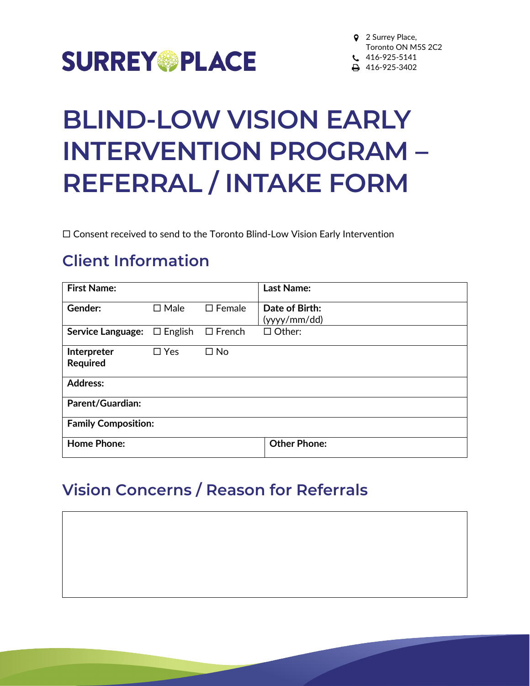

# **BLIND-LOW VISION EARLY INTERVENTION PROGRAM – REFERRAL / INTAKE FORM**

Consent received to send to the Toronto Blind-Low Vision Early Intervention

## **Client Information**

| <b>First Name:</b>         |                |                  | <b>Last Name:</b>              |
|----------------------------|----------------|------------------|--------------------------------|
| Gender:                    | $\square$ Male | $\square$ Female | Date of Birth:<br>(yyyy/mm/dd) |
| <b>Service Language:</b>   | $\Box$ English | $\square$ French | $\Box$ Other:                  |
| Interpreter<br>Required    | $\Box$ Yes     | $\square$ No     |                                |
| <b>Address:</b>            |                |                  |                                |
| <b>Parent/Guardian:</b>    |                |                  |                                |
| <b>Family Composition:</b> |                |                  |                                |
| <b>Home Phone:</b>         |                |                  | <b>Other Phone:</b>            |

### **Vision Concerns / Reason for Referrals**

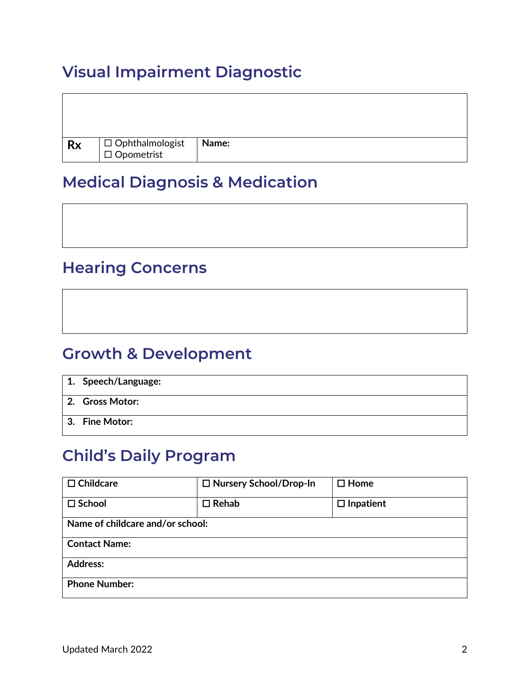# **Visual Impairment Diagnostic**

| <b>Rx</b> | $\boxed{\square}$ Ophthalmologist<br>$\boxed{\square}$ Opometrist | <b>Name:</b> |
|-----------|-------------------------------------------------------------------|--------------|

#### **Medical Diagnosis & Medication**

#### **Hearing Concerns**

#### **Growth & Development**

| 1. Speech/Language: |
|---------------------|
| 2. Gross Motor:     |
| 3. Fine Motor:      |

# **Child's Daily Program**

| $\Box$ Childcare                 | □ Nursery School/Drop-In | $\square$ Home   |
|----------------------------------|--------------------------|------------------|
| $\square$ School                 | $\Box$ Rehab             | $\Box$ Inpatient |
| Name of childcare and/or school: |                          |                  |
| <b>Contact Name:</b>             |                          |                  |
| <b>Address:</b>                  |                          |                  |
| <b>Phone Number:</b>             |                          |                  |